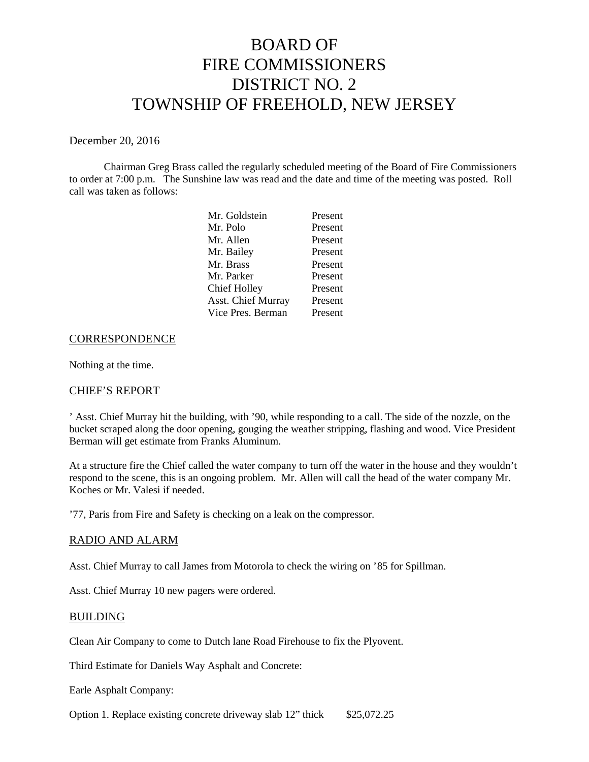# BOARD OF FIRE COMMISSIONERS DISTRICT NO. 2 TOWNSHIP OF FREEHOLD, NEW JERSEY

#### December 20, 2016

Chairman Greg Brass called the regularly scheduled meeting of the Board of Fire Commissioners to order at 7:00 p.m. The Sunshine law was read and the date and time of the meeting was posted. Roll call was taken as follows:

| Present |
|---------|
| Present |
| Present |
| Present |
| Present |
| Present |
| Present |
| Present |
|         |

#### **CORRESPONDENCE**

Nothing at the time.

### CHIEF'S REPORT

' Asst. Chief Murray hit the building, with '90, while responding to a call. The side of the nozzle, on the bucket scraped along the door opening, gouging the weather stripping, flashing and wood. Vice President Berman will get estimate from Franks Aluminum.

At a structure fire the Chief called the water company to turn off the water in the house and they wouldn't respond to the scene, this is an ongoing problem. Mr. Allen will call the head of the water company Mr. Koches or Mr. Valesi if needed.

'77, Paris from Fire and Safety is checking on a leak on the compressor.

### RADIO AND ALARM

Asst. Chief Murray to call James from Motorola to check the wiring on '85 for Spillman.

Asst. Chief Murray 10 new pagers were ordered.

#### BUILDING

Clean Air Company to come to Dutch lane Road Firehouse to fix the Plyovent.

Third Estimate for Daniels Way Asphalt and Concrete:

Earle Asphalt Company:

Option 1. Replace existing concrete driveway slab 12" thick \$25,072.25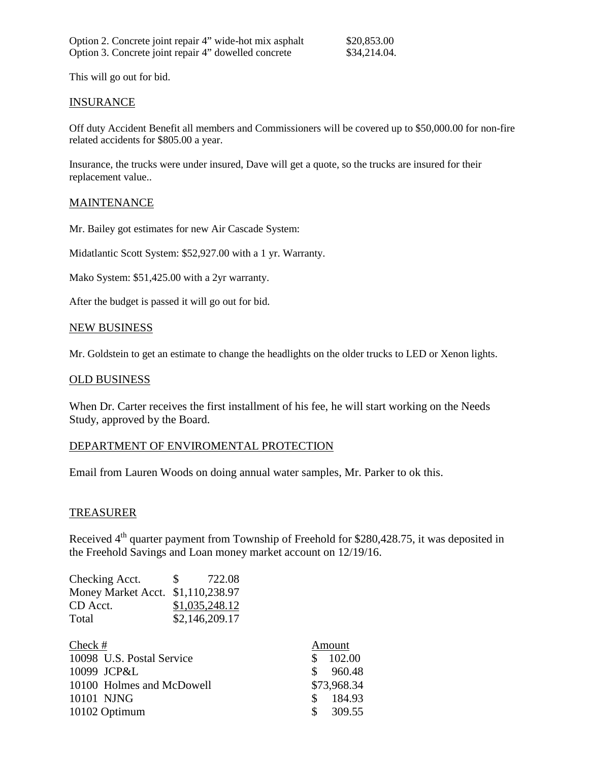This will go out for bid.

#### **INSURANCE**

Off duty Accident Benefit all members and Commissioners will be covered up to \$50,000.00 for non-fire related accidents for \$805.00 a year.

Insurance, the trucks were under insured, Dave will get a quote, so the trucks are insured for their replacement value..

## MAINTENANCE

Mr. Bailey got estimates for new Air Cascade System:

Midatlantic Scott System: \$52,927.00 with a 1 yr. Warranty.

Mako System: \$51,425.00 with a 2yr warranty.

After the budget is passed it will go out for bid.

#### NEW BUSINESS

Mr. Goldstein to get an estimate to change the headlights on the older trucks to LED or Xenon lights.

#### OLD BUSINESS

When Dr. Carter receives the first installment of his fee, he will start working on the Needs Study, approved by the Board.

# DEPARTMENT OF ENVIROMENTAL PROTECTION

Email from Lauren Woods on doing annual water samples, Mr. Parker to ok this.

### TREASURER

Received  $4<sup>th</sup>$  quarter payment from Township of Freehold for \$280,428.75, it was deposited in the Freehold Savings and Loan money market account on 12/19/16.

| Checking Acct.                    | 722.08<br>S.   |
|-----------------------------------|----------------|
| Money Market Acct. \$1,110,238.97 |                |
| CD Acct.                          | \$1,035,248.12 |
| Total                             | \$2,146,209.17 |

| Check $#$                 | Amount                  |
|---------------------------|-------------------------|
| 10098 U.S. Postal Service | 102.00<br><b>S</b>      |
| 10099 JCP&L               | \$960.48                |
| 10100 Holmes and McDowell | \$73,968.34             |
| 10101 NJNG                | 184.93<br><sup>S</sup>  |
| 10102 Optimum             | 309.55<br><sup>\$</sup> |